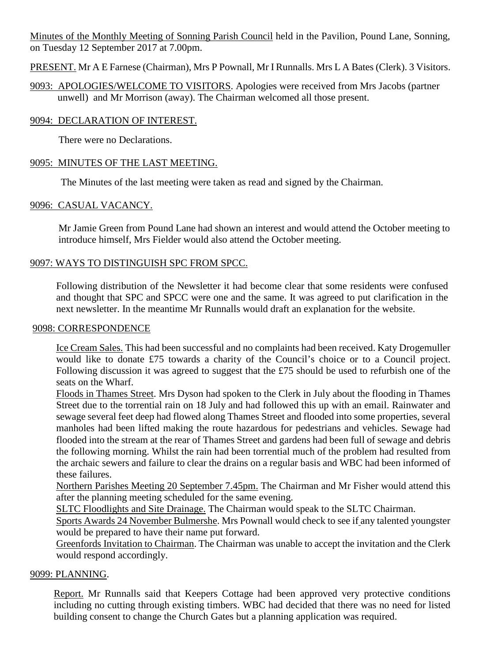Minutes of the Monthly Meeting of Sonning Parish Council held in the Pavilion, Pound Lane, Sonning, on Tuesday 12 September 2017 at 7.00pm.

PRESENT. Mr A E Farnese (Chairman), Mrs P Pownall, Mr I Runnalls. Mrs L A Bates (Clerk). 3 Visitors.

9093: APOLOGIES/WELCOME TO VISITORS. Apologies were received from Mrs Jacobs (partner unwell) and Mr Morrison (away). The Chairman welcomed all those present.

#### 9094: DECLARATION OF INTEREST.

There were no Declarations.

### 9095: MINUTES OF THE LAST MEETING.

The Minutes of the last meeting were taken as read and signed by the Chairman.

### 9096: CASUAL VACANCY.

Mr Jamie Green from Pound Lane had shown an interest and would attend the October meeting to introduce himself, Mrs Fielder would also attend the October meeting.

### 9097: WAYS TO DISTINGUISH SPC FROM SPCC.

Following distribution of the Newsletter it had become clear that some residents were confused and thought that SPC and SPCC were one and the same. It was agreed to put clarification in the next newsletter. In the meantime Mr Runnalls would draft an explanation for the website.

#### 9098: CORRESPONDENCE

Ice Cream Sales. This had been successful and no complaints had been received. Katy Drogemuller would like to donate £75 towards a charity of the Council's choice or to a Council project. Following discussion it was agreed to suggest that the £75 should be used to refurbish one of the seats on the Wharf.

Floods in Thames Street. Mrs Dyson had spoken to the Clerk in July about the flooding in Thames Street due to the torrential rain on 18 July and had followed this up with an email. Rainwater and sewage several feet deep had flowed along Thames Street and flooded into some properties, several manholes had been lifted making the route hazardous for pedestrians and vehicles. Sewage had flooded into the stream at the rear of Thames Street and gardens had been full of sewage and debris the following morning. Whilst the rain had been torrential much of the problem had resulted from the archaic sewers and failure to clear the drains on a regular basis and WBC had been informed of these failures.

Northern Parishes Meeting 20 September 7.45pm. The Chairman and Mr Fisher would attend this after the planning meeting scheduled for the same evening.

SLTC Floodlights and Site Drainage. The Chairman would speak to the SLTC Chairman.

Sports Awards 24 November Bulmershe. Mrs Pownall would check to see if any talented youngster would be prepared to have their name put forward.

Greenfords Invitation to Chairman. The Chairman was unable to accept the invitation and the Clerk would respond accordingly.

#### 9099: PLANNING.

Report. Mr Runnalls said that Keepers Cottage had been approved very protective conditions including no cutting through existing timbers. WBC had decided that there was no need for listed building consent to change the Church Gates but a planning application was required.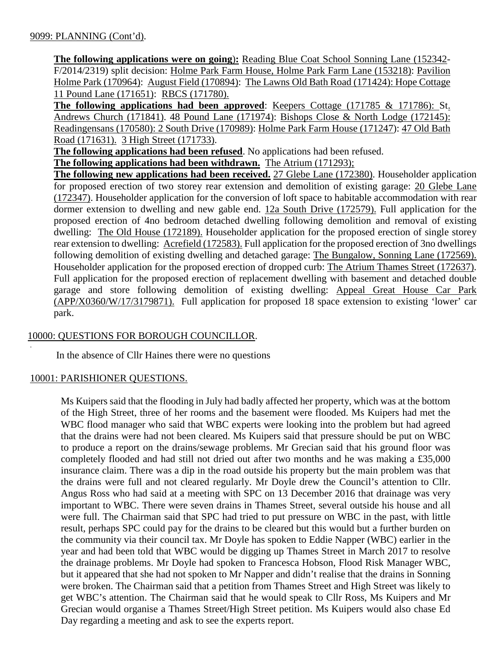**The following applications were on going**)**:** Reading Blue Coat School Sonning Lane (152342- F/2014/2319) split decision: Holme Park Farm House, Holme Park Farm Lane (153218): Pavilion Holme Park (170964): August Field (170894): The Lawns Old Bath Road (171424): Hope Cottage 11 Pound Lane (171651): RBCS (171780).

**The following applications had been approved**: Keepers Cottage (171785 & 171786): St. Andrews Church (171841). 48 Pound Lane (171974): Bishops Close & North Lodge (172145): Readingensans (170580): 2 South Drive (170989): Holme Park Farm House (171247): 47 Old Bath Road (171631). 3 High Street (171733).

**The following applications had been refused**. No applications had been refused.

**The following applications had been withdrawn.** The Atrium (171293);

**The following new applications had been received.** 27 Glebe Lane (172380). Householder application for proposed erection of two storey rear extension and demolition of existing garage: 20 Glebe Lane (172347). Householder application for the conversion of loft space to habitable accommodation with rear dormer extension to dwelling and new gable end. 12a South Drive (172579). Full application for the proposed erection of 4no bedroom detached dwelling following demolition and removal of existing dwelling: The Old House (172189). Householder application for the proposed erection of single storey rear extension to dwelling: Acrefield (172583). Full application for the proposed erection of 3no dwellings following demolition of existing dwelling and detached garage: The Bungalow, Sonning Lane (172569). Householder application for the proposed erection of dropped curb: The Atrium Thames Street (172637). Full application for the proposed erection of replacement dwelling with basement and detached double garage and store following demolition of existing dwelling: Appeal Great House Car Park (APP/X0360/W/17/3179871). Full application for proposed 18 space extension to existing 'lower' car park.

### 10000: QUESTIONS FOR BOROUGH COUNCILLOR.

In the absence of Cllr Haines there were no questions

#### 10001: PARISHIONER QUESTIONS.

.

Ms Kuipers said that the flooding in July had badly affected her property, which was at the bottom of the High Street, three of her rooms and the basement were flooded. Ms Kuipers had met the WBC flood manager who said that WBC experts were looking into the problem but had agreed that the drains were had not been cleared. Ms Kuipers said that pressure should be put on WBC to produce a report on the drains/sewage problems. Mr Grecian said that his ground floor was completely flooded and had still not dried out after two months and he was making a £35,000 insurance claim. There was a dip in the road outside his property but the main problem was that the drains were full and not cleared regularly. Mr Doyle drew the Council's attention to Cllr. Angus Ross who had said at a meeting with SPC on 13 December 2016 that drainage was very important to WBC. There were seven drains in Thames Street, several outside his house and all were full. The Chairman said that SPC had tried to put pressure on WBC in the past, with little result, perhaps SPC could pay for the drains to be cleared but this would but a further burden on the community via their council tax. Mr Doyle has spoken to Eddie Napper (WBC) earlier in the year and had been told that WBC would be digging up Thames Street in March 2017 to resolve the drainage problems. Mr Doyle had spoken to Francesca Hobson, Flood Risk Manager WBC, but it appeared that she had not spoken to Mr Napper and didn't realise that the drains in Sonning were broken. The Chairman said that a petition from Thames Street and High Street was likely to get WBC's attention. The Chairman said that he would speak to Cllr Ross, Ms Kuipers and Mr Grecian would organise a Thames Street/High Street petition. Ms Kuipers would also chase Ed Day regarding a meeting and ask to see the experts report.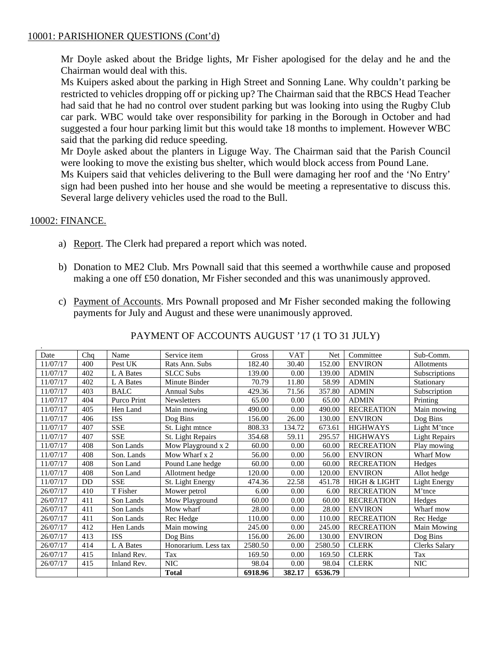### 10001: PARISHIONER QUESTIONS (Cont'd)

Mr Doyle asked about the Bridge lights, Mr Fisher apologised for the delay and he and the Chairman would deal with this.

Ms Kuipers asked about the parking in High Street and Sonning Lane. Why couldn't parking be restricted to vehicles dropping off or picking up? The Chairman said that the RBCS Head Teacher had said that he had no control over student parking but was looking into using the Rugby Club car park. WBC would take over responsibility for parking in the Borough in October and had suggested a four hour parking limit but this would take 18 months to implement. However WBC said that the parking did reduce speeding.

Mr Doyle asked about the planters in Liguge Way. The Chairman said that the Parish Council were looking to move the existing bus shelter, which would block access from Pound Lane. Ms Kuipers said that vehicles delivering to the Bull were damaging her roof and the 'No Entry' sign had been pushed into her house and she would be meeting a representative to discuss this. Several large delivery vehicles used the road to the Bull.

### 10002: FINANCE.

- a) Report. The Clerk had prepared a report which was noted.
- b) Donation to ME2 Club. Mrs Pownall said that this seemed a worthwhile cause and proposed making a one off £50 donation, Mr Fisher seconded and this was unanimously approved.
- c) Payment of Accounts. Mrs Pownall proposed and Mr Fisher seconded making the following payments for July and August and these were unanimously approved.

| Date     | Chq       | Name        | Service item         | Gross   | <b>VAT</b> | Net     | Committee               | Sub-Comm.            |
|----------|-----------|-------------|----------------------|---------|------------|---------|-------------------------|----------------------|
| 11/07/17 | 400       | Pest UK     | Rats Ann. Subs       | 182.40  | 30.40      | 152.00  | <b>ENVIRON</b>          | Allotments           |
| 11/07/17 | 402       | L A Bates   | <b>SLCC Subs</b>     | 139.00  | 0.00       | 139.00  | <b>ADMIN</b>            | Subscriptions        |
| 11/07/17 | 402       | L A Bates   | Minute Binder        | 70.79   | 11.80      | 58.99   | <b>ADMIN</b>            | Stationary           |
| 11/07/17 | 403       | <b>BALC</b> | <b>Annual Subs</b>   | 429.36  | 71.56      | 357.80  | <b>ADMIN</b>            | Subscription         |
| 11/07/17 | 404       | Purco Print | <b>Newsletters</b>   | 65.00   | 0.00       | 65.00   | <b>ADMIN</b>            | Printing             |
| 11/07/17 | 405       | Hen Land    | Main mowing          | 490.00  | 0.00       | 490.00  | <b>RECREATION</b>       | Main mowing          |
| 11/07/17 | 406       | <b>ISS</b>  | Dog Bins             | 156.00  | 26.00      | 130.00  | <b>ENVIRON</b>          | Dog Bins             |
| 11/07/17 | 407       | <b>SSE</b>  | St. Light mtnce      | 808.33  | 134.72     | 673.61  | <b>HIGHWAYS</b>         | Light M'tnce         |
| 11/07/17 | 407       | <b>SSE</b>  | St. Light Repairs    | 354.68  | 59.11      | 295.57  | <b>HIGHWAYS</b>         | <b>Light Repairs</b> |
| 11/07/17 | 408       | Son Lands   | Mow Playground x 2   | 60.00   | 0.00       | 60.00   | <b>RECREATION</b>       | Play mowing          |
| 11/07/17 | 408       | Son. Lands  | Mow Wharf x 2        | 56.00   | 0.00       | 56.00   | <b>ENVIRON</b>          | Wharf Mow            |
| 11/07/17 | 408       | Son Land    | Pound Lane hedge     | 60.00   | 0.00       | 60.00   | <b>RECREATION</b>       | Hedges               |
| 11/07/17 | 408       | Son Land    | Allotment hedge      | 120.00  | $0.00\,$   | 120.00  | <b>ENVIRON</b>          | Allot hedge          |
| 11/07/17 | <b>DD</b> | <b>SSE</b>  | St. Light Energy     | 474.36  | 22.58      | 451.78  | <b>HIGH &amp; LIGHT</b> | <b>Light Energy</b>  |
| 26/07/17 | 410       | T Fisher    | Mower petrol         | 6.00    | $0.00\,$   | 6.00    | <b>RECREATION</b>       | M'tnce               |
| 26/07/17 | 411       | Son Lands   | Mow Playground       | 60.00   | 0.00       | 60.00   | <b>RECREATION</b>       | Hedges               |
| 26/07/17 | 411       | Son Lands   | Mow wharf            | 28.00   | 0.00       | 28.00   | <b>ENVIRON</b>          | Wharf mow            |
| 26/07/17 | 411       | Son Lands   | Rec Hedge            | 110.00  | 0.00       | 110.00  | <b>RECREATION</b>       | Rec Hedge            |
| 26/07/17 | 412       | Hen Lands   | Main mowing          | 245.00  | 0.00       | 245.00  | <b>RECREATION</b>       | Main Mowing          |
| 26/07/17 | 413       | <b>ISS</b>  | Dog Bins             | 156.00  | 26.00      | 130.00  | <b>ENVIRON</b>          | Dog Bins             |
| 26/07/17 | 414       | L A Bates   | Honorarium. Less tax | 2580.50 | 0.00       | 2580.50 | <b>CLERK</b>            | Clerks Salary        |
| 26/07/17 | 415       | Inland Rev. | Tax                  | 169.50  | 0.00       | 169.50  | <b>CLERK</b>            | Tax                  |
| 26/07/17 | 415       | Inland Rev. | <b>NIC</b>           | 98.04   | 0.00       | 98.04   | <b>CLERK</b>            | <b>NIC</b>           |
|          |           |             | <b>Total</b>         | 6918.96 | 382.17     | 6536.79 |                         |                      |

PAYMENT OF ACCOUNTS AUGUST '17 (1 TO 31 JULY)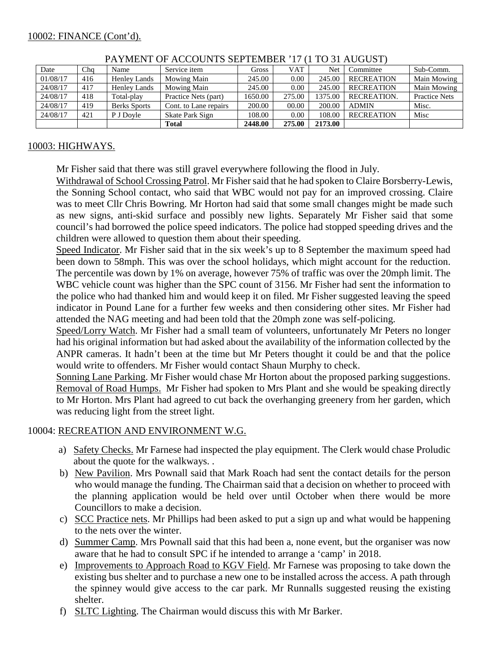| Date     | Cha | Name                | Service item          | Gross   | VAT    | Net     | Committee         | Sub-Comm.            |
|----------|-----|---------------------|-----------------------|---------|--------|---------|-------------------|----------------------|
| 01/08/17 | 416 | Henley Lands        | Mowing Main           | 245.00  | 0.00   | 245.00  | <b>RECREATION</b> | Main Mowing          |
| 24/08/17 | 417 | Henley Lands        | Mowing Main           | 245.00  | 0.00   | 245.00  | <b>RECREATION</b> | Main Mowing          |
| 24/08/17 | 418 | Total-play          | Practice Nets (part)  | 1650.00 | 275.00 | 1375.00 | RECREATION.       | <b>Practice Nets</b> |
| 24/08/17 | 419 | <b>Berks Sports</b> | Cont. to Lane repairs | 200.00  | 00.00  | 200.00  | <b>ADMIN</b>      | Misc.                |
| 24/08/17 | 421 | P J Dovle           | Skate Park Sign       | 108.00  | 0.00   | 108.00  | <b>RECREATION</b> | Misc                 |
|          |     |                     | <b>Total</b>          | 2448.00 | 275.00 | 2173.00 |                   |                      |

PAYMENT OF ACCOUNTS SEPTEMBER '17 (1 TO 31 AUGUST)

# 10003: HIGHWAYS.

Mr Fisher said that there was still gravel everywhere following the flood in July.

Withdrawal of School Crossing Patrol. Mr Fisher said that he had spoken to Claire Borsberry-Lewis, the Sonning School contact, who said that WBC would not pay for an improved crossing. Claire was to meet Cllr Chris Bowring. Mr Horton had said that some small changes might be made such as new signs, anti-skid surface and possibly new lights. Separately Mr Fisher said that some council's had borrowed the police speed indicators. The police had stopped speeding drives and the children were allowed to question them about their speeding.

Speed Indicator. Mr Fisher said that in the six week's up to 8 September the maximum speed had been down to 58mph. This was over the school holidays, which might account for the reduction. The percentile was down by 1% on average, however 75% of traffic was over the 20mph limit. The WBC vehicle count was higher than the SPC count of 3156. Mr Fisher had sent the information to the police who had thanked him and would keep it on filed. Mr Fisher suggested leaving the speed indicator in Pound Lane for a further few weeks and then considering other sites. Mr Fisher had attended the NAG meeting and had been told that the 20mph zone was self-policing.

Speed/Lorry Watch. Mr Fisher had a small team of volunteers, unfortunately Mr Peters no longer had his original information but had asked about the availability of the information collected by the ANPR cameras. It hadn't been at the time but Mr Peters thought it could be and that the police would write to offenders. Mr Fisher would contact Shaun Murphy to check.

Sonning Lane Parking. Mr Fisher would chase Mr Horton about the proposed parking suggestions. Removal of Road Humps. Mr Fisher had spoken to Mrs Plant and she would be speaking directly to Mr Horton. Mrs Plant had agreed to cut back the overhanging greenery from her garden, which was reducing light from the street light.

# 10004: RECREATION AND ENVIRONMENT W.G.

- a) Safety Checks. Mr Farnese had inspected the play equipment. The Clerk would chase Proludic about the quote for the walkways. .
- b) New Pavilion. Mrs Pownall said that Mark Roach had sent the contact details for the person who would manage the funding. The Chairman said that a decision on whether to proceed with the planning application would be held over until October when there would be more Councillors to make a decision.
- c) SCC Practice nets. Mr Phillips had been asked to put a sign up and what would be happening to the nets over the winter.
- d) Summer Camp. Mrs Pownall said that this had been a, none event, but the organiser was now aware that he had to consult SPC if he intended to arrange a 'camp' in 2018.
- e) Improvements to Approach Road to KGV Field. Mr Farnese was proposing to take down the existing bus shelter and to purchase a new one to be installed across the access. A path through the spinney would give access to the car park. Mr Runnalls suggested reusing the existing shelter.
- f) SLTC Lighting. The Chairman would discuss this with Mr Barker.